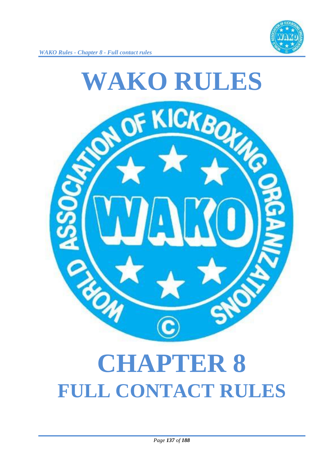



# **CHAPTER 8 FULL CONTACT RULES**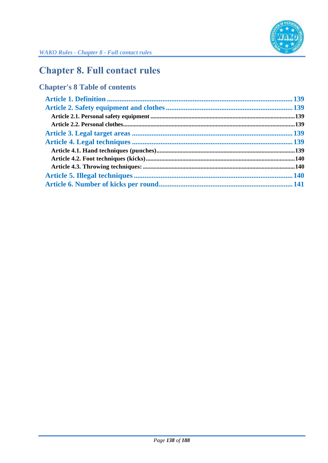

## **Chapter 8. Full contact rules**

## **Chapter's 8 Table of contents**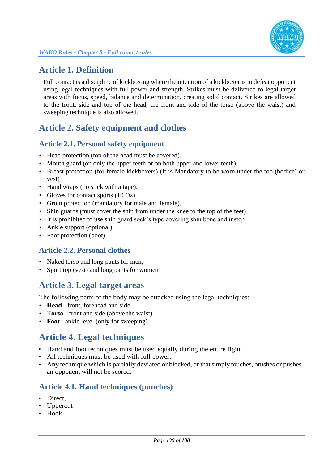

### **Article 1. Definition**

Full contact is a discipline of kickboxing where the intention of a kickboxer is to defeat opponent using legal techniques with full power and strength. Strikes must be delivered to legal target areas with focus, speed, balance and determination, creating solid contact. Strikes are allowed to the front, side and top of the head, the front and side of the torso (above the waist) and sweeping technique is also allowed.

## **Article 2. Safety equipment and clothes**

#### **Article 2.1. Personal safety equipment**

- Head protection (top of the head must be covered).
- Mouth guard (on only the upper teeth or on both upper and lower teeth).
- Breast protection (for female kickboxers) (It is Mandatory to be worn under the top (bodice) or vest)
- Hand wraps (no stick with a tape).
- Gloves for contact sports (10 Oz).
- Groin protection (mandatory for male and female).
- Shin guards (must cover the shin from under the knee to the top of the feet).
- It is prohibited to use shin guard sock's type covering shin bone and instep
- Ankle support (optional)
- Foot protection (boot).

#### **Article 2.2. Personal clothes**

- Naked torso and long pants for men,
- Sport top (vest) and long pants for women

### **Article 3. Legal target areas**

The following parts of the body may be attacked using the legal techniques:

- **Head** front, forehead and side
- **Torso** front and side (above the waist)
- **Foot** ankle level (only for sweeping)

### **Article 4. Legal techniques**

- Hand and foot techniques must be used equally during the entire fight.
- All techniques must be used with full power.
- Any technique which is partially deviated or blocked, or that simply touches, brushes or pushes an opponent will not be scored.

#### **Article 4.1. Hand techniques (punches)**

- Direct.
- Uppercut
- Hook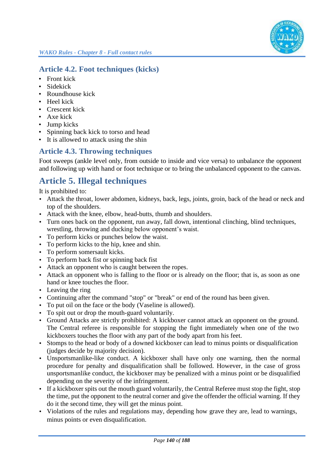#### **Article 4.2. Foot techniques (kicks)**

- Front kick
- Sidekick
- Roundhouse kick
- Heel kick
- Crescent kick
- Axe kick
- Jump kicks
- Spinning back kick to torso and head
- It is allowed to attack using the shin

#### **Article 4.3. Throwing techniques**

Foot sweeps (ankle level only, from outside to inside and vice versa) to unbalance the opponent and following up with hand or foot technique or to bring the unbalanced opponent to the canvas.

## **Article 5. Illegal techniques**

It is prohibited to:

- Attack the throat, lower abdomen, kidneys, back, legs, joints, groin, back of the head or neck and top of the shoulders.
- Attack with the knee, elbow, head-butts, thumb and shoulders.
- Turn ones back on the opponent, run away, fall down, intentional clinching, blind techniques, wrestling, throwing and ducking below opponent's waist.
- To perform kicks or punches below the waist.
- To perform kicks to the hip, knee and shin.
- To perform somersault kicks.
- To perform back fist or spinning back fist
- Attack an opponent who is caught between the ropes.
- Attack an opponent who is falling to the floor or is already on the floor; that is, as soon as one hand or knee touches the floor.
- Leaving the ring
- Continuing after the command "stop" or "break" or end of the round has been given.
- To put oil on the face or the body (Vaseline is allowed).
- To spit out or drop the mouth-guard voluntarily.
- Ground Attacks are strictly prohibited: A kickboxer cannot attack an opponent on the ground. The Central referee is responsible for stopping the fight immediately when one of the two kickboxers touches the floor with any part of the body apart from his feet.
- Stomps to the head or body of a downed kickboxer can lead to minus points or disqualification (judges decide by majority decision).
- Unsportsmanlike-like conduct. A kickboxer shall have only one warning, then the normal procedure for penalty and disqualification shall be followed. However, in the case of gross unsportsmanlike conduct, the kickboxer may be penalized with a minus point or be disqualified depending on the severity of the infringement.
- If a kickboxer spits out the mouth guard voluntarily, the Central Referee must stop the fight, stop the time, put the opponent to the neutral corner and give the offender the official warning. If they do it the second time, they will get the minus point.
- Violations of the rules and regulations may, depending how grave they are, lead to warnings, minus points or even disqualification.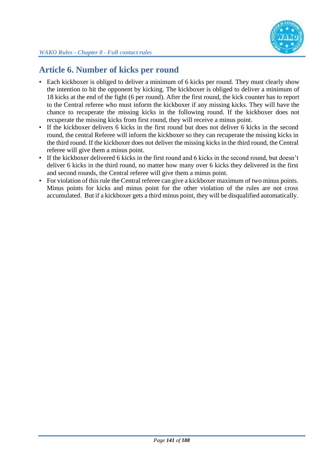

## **Article 6. Number of kicks per round**

- Each kickboxer is obliged to deliver a minimum of 6 kicks per round. They must clearly show the intention to hit the opponent by kicking. The kickboxer is obliged to deliver a minimum of 18 kicks at the end of the fight (6 per round). After the first round, the kick counter has to report to the Central referee who must inform the kickboxer if any missing kicks. They will have the chance to recuperate the missing kicks in the following round. If the kickboxer does not recuperate the missing kicks from first round, they will receive a minus point.
- If the kickboxer delivers 6 kicks in the first round but does not deliver 6 kicks in the second round, the central Referee will inform the kickboxer so they can recuperate the missing kicks in the third round. If the kickboxer does not deliver the missing kicks in the third round, the Central referee will give them a minus point.
- If the kickboxer delivered 6 kicks in the first round and 6 kicks in the second round, but doesn't deliver 6 kicks in the third round, no matter how many over 6 kicks they delivered in the first and second rounds, the Central referee will give them a minus point.
- For violation of this rule the Central referee can give a kickboxer maximum of two minus points. Minus points for kicks and minus point for the other violation of the rules are not cross accumulated. But if a kickboxer gets a third minus point, they will be disqualified automatically.